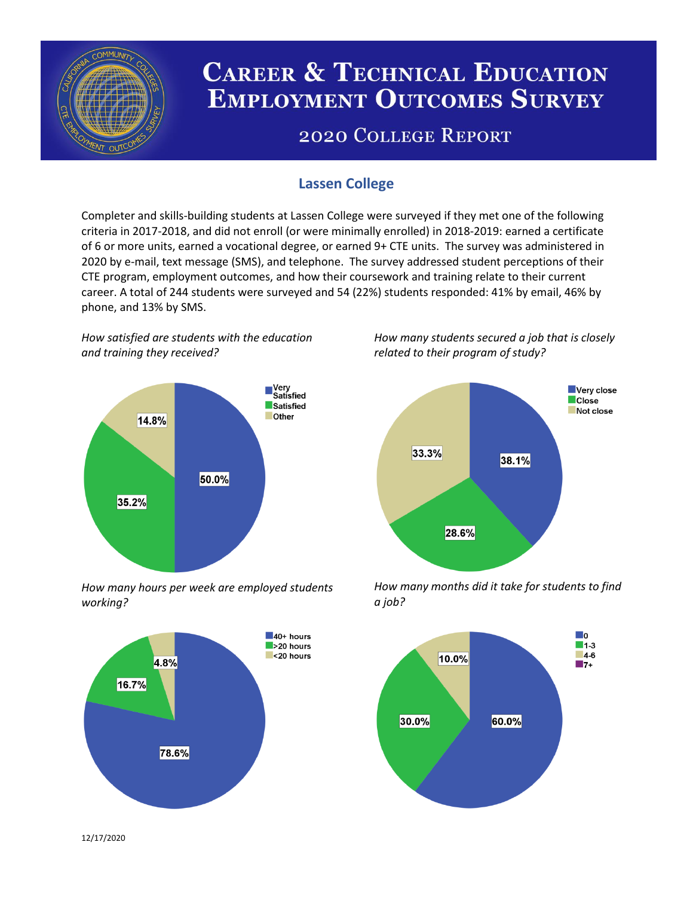

# **CAREER & TECHNICAL EDUCATION EMPLOYMENT OUTCOMES SURVEY**

## **2020 COLLEGE REPORT**

## **Lassen College**

Completer and skills-building students at Lassen College were surveyed if they met one of the following criteria in 2017-2018, and did not enroll (or were minimally enrolled) in 2018-2019: earned a certificate of 6 or more units, earned a vocational degree, or earned 9+ CTE units. The survey was administered in 2020 by e-mail, text message (SMS), and telephone. The survey addressed student perceptions of their CTE program, employment outcomes, and how their coursework and training relate to their current career. A total of 244 students were surveyed and 54 (22%) students responded: 41% by email, 46% by phone, and 13% by SMS.

*How satisfied are students with the education and training they received?*



*How many hours per week are employed students working?*



*How many students secured a job that is closely related to their program of study?*



*How many months did it take for students to find a job?*



12/17/2020